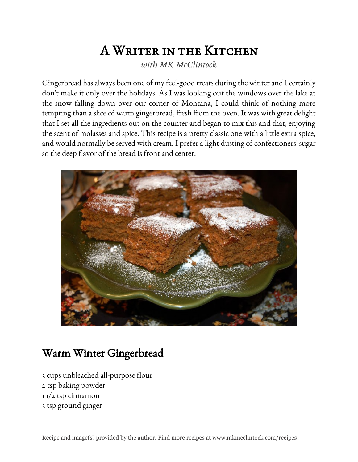## A Writer in the Kitchen

*with MK McClintock*

Gingerbread has always been one of my feel-good treats during the winter and I certainly don't make it only over the holidays. As I was looking out the windows over the lake at the snow falling down over our corner of Montana, I could think of nothing more tempting than a slice of warm gingerbread, fresh from the oven. It was with great delight that I set all the ingredients out on the counter and began to mix this and that, enjoying the scent of molasses and spice. This recipe is a pretty classic one with a little extra spice, and would normally be served with cream. I prefer a light dusting of confectioners' sugar so the deep flavor of the bread is front and center.



## Warm Winter Gingerbread

3 cups unbleached all-purpose flour 2 tsp baking powder 1 1/2 tsp cinnamon 3 tsp ground ginger